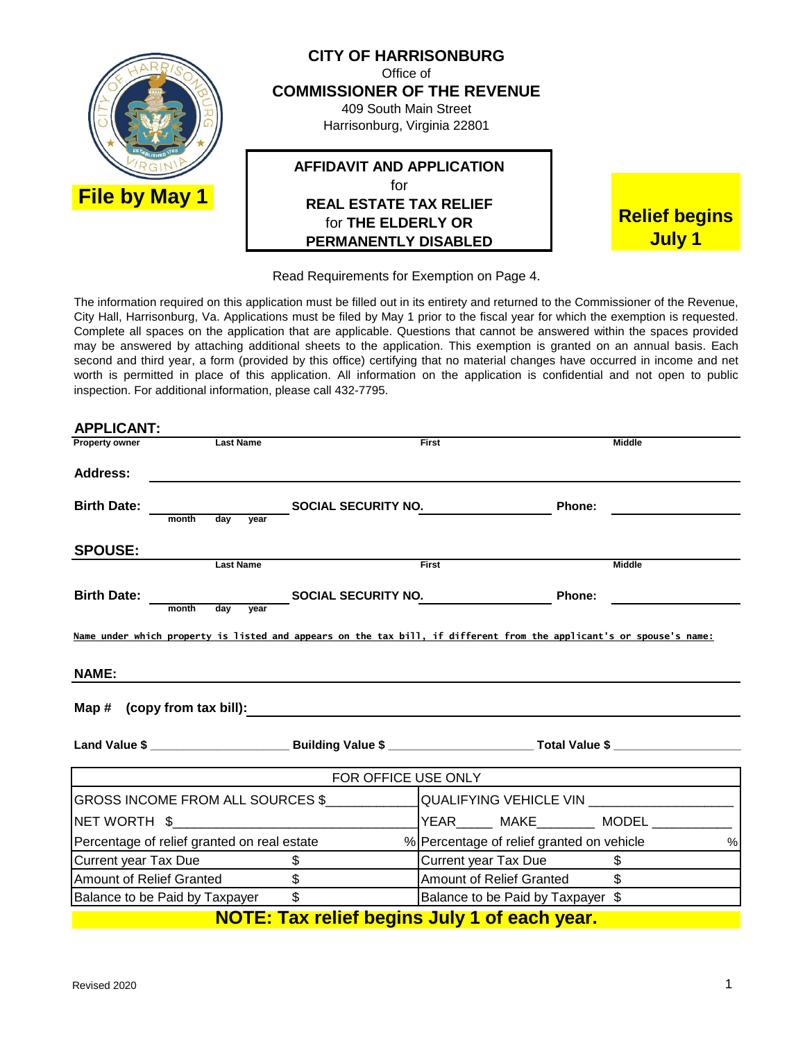

Read Requirements for Exemption on Page 4.

The information required on this application must be filled out in its entirety and returned to the Commissioner of the Revenue, City Hall, Harrisonburg, Va. Applications must be filed by May 1 prior to the fiscal year for which the exemption is requested. Complete all spaces on the application that are applicable. Questions that cannot be answered within the spaces provided may be answered by attaching additional sheets to the application. This exemption is granted on an annual basis. Each second and third year, a form (provided by this office) certifying that no material changes have occurred in income and net worth is permitted in place of this application. All information on the application is confidential and not open to public inspection. For additional information, please call 432-7795.

| <b>APPLICANT:</b>                                                                                                    |                                    |                                                     |               |
|----------------------------------------------------------------------------------------------------------------------|------------------------------------|-----------------------------------------------------|---------------|
| <b>Last Name</b><br><b>Property owner</b>                                                                            |                                    | First                                               | <b>Middle</b> |
| <b>Address:</b>                                                                                                      |                                    |                                                     |               |
| <b>Birth Date:</b>                                                                                                   | May year SOCIAL SECURITY NO.       | Phone:                                              |               |
| month                                                                                                                |                                    |                                                     |               |
| <b>SPOUSE:</b>                                                                                                       |                                    |                                                     |               |
| <b>Last Name</b>                                                                                                     |                                    | First                                               | <b>Middle</b> |
| <b>Birth Date:</b>                                                                                                   | month day year SOCIAL SECURITY NO. | Phone:                                              |               |
|                                                                                                                      |                                    |                                                     |               |
| Name under which property is listed and appears on the tax bill, if different from the applicant's or spouse's name: |                                    |                                                     |               |
| NAME:                                                                                                                |                                    |                                                     |               |
|                                                                                                                      |                                    |                                                     |               |
|                                                                                                                      |                                    |                                                     |               |
|                                                                                                                      | <b>FOR OFFICE USE ONLY</b>         |                                                     |               |
|                                                                                                                      |                                    |                                                     |               |
|                                                                                                                      |                                    | YEAR_______ MAKE__________ MODEL ____________       |               |
| Percentage of relief granted on real estate                                                                          |                                    | % Percentage of relief granted on vehicle           | $\%$          |
| Current year Tax Due                                                                                                 | $\frac{1}{2}$                      | Current year Tax Due                                | $\frac{1}{2}$ |
| <b>Amount of Relief Granted</b>                                                                                      | $\overline{\mathbb{S}}$            | Amount of Relief Granted                            | $\mathbb{S}$  |
| Balance to be Paid by Taxpayer                                                                                       | $\sim$                             | Balance to be Paid by Taxpayer \$                   |               |
|                                                                                                                      |                                    | <b>NOTE: Tax relief begins July 1 of each year.</b> |               |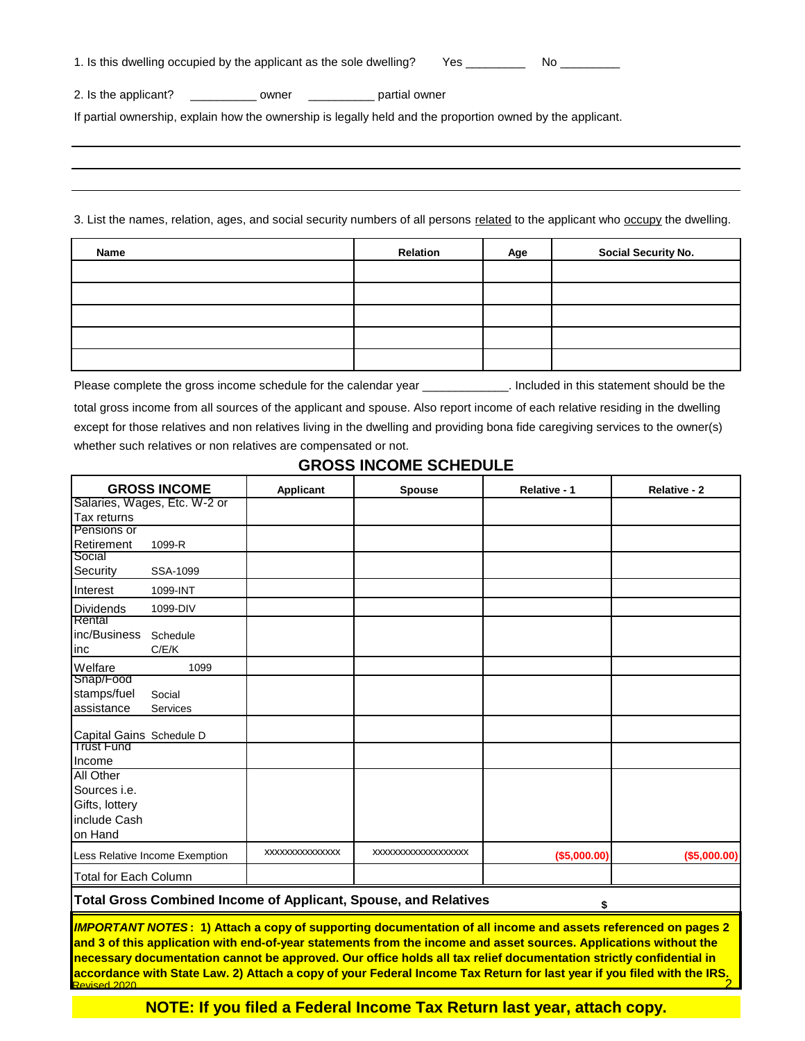| 1. Is this dwelling occupied by the applicant as the sole dwelling? | Yes |  |  |
|---------------------------------------------------------------------|-----|--|--|
|---------------------------------------------------------------------|-----|--|--|

2. Is the applicant? \_\_\_\_\_\_\_\_\_\_\_\_ owner \_\_\_\_\_\_\_\_\_\_\_\_\_ partial owner

If partial ownership, explain how the ownership is legally held and the proportion owned by the applicant.

3. List the names, relation, ages, and social security numbers of all persons related to the applicant who occupy the dwelling.

| Name | <b>Relation</b> | Age | <b>Social Security No.</b> |
|------|-----------------|-----|----------------------------|
|      |                 |     |                            |
|      |                 |     |                            |
|      |                 |     |                            |
|      |                 |     |                            |
|      |                 |     |                            |

Please complete the gross income schedule for the calendar year \_\_\_\_\_\_\_\_\_\_\_\_\_. Included in this statement should be the

total gross income from all sources of the applicant and spouse. Also report income of each relative residing in the dwelling except for those relatives and non relatives living in the dwelling and providing bona fide caregiving services to the owner(s) whether such relatives or non relatives are compensated or not.

# **GROSS INCOME SCHEDULE**

| <b>GROSS INCOME</b>                                                          | Applicant      | <b>Spouse</b>      | Relative - 1 | Relative - 2 |
|------------------------------------------------------------------------------|----------------|--------------------|--------------|--------------|
| Salaries, Wages, Etc. W-2 or                                                 |                |                    |              |              |
| Tax returns                                                                  |                |                    |              |              |
| Pensions or                                                                  |                |                    |              |              |
| Retirement<br>1099-R                                                         |                |                    |              |              |
| Social                                                                       |                |                    |              |              |
| Security<br>SSA-1099                                                         |                |                    |              |              |
| Interest<br>1099-INT                                                         |                |                    |              |              |
| <b>Dividends</b><br>1099-DIV                                                 |                |                    |              |              |
| Rental                                                                       |                |                    |              |              |
| inc/Business<br>Schedule                                                     |                |                    |              |              |
| C/E/K<br>inc                                                                 |                |                    |              |              |
| Welfare<br>1099                                                              |                |                    |              |              |
| Snap/Food                                                                    |                |                    |              |              |
| stamps/fuel<br>Social                                                        |                |                    |              |              |
| assistance<br>Services                                                       |                |                    |              |              |
|                                                                              |                |                    |              |              |
| Capital Gains Schedule D<br>Trust Fund                                       |                |                    |              |              |
| Income                                                                       |                |                    |              |              |
| <b>All Other</b>                                                             |                |                    |              |              |
| Sources <i>i.e.</i>                                                          |                |                    |              |              |
| Gifts, lottery                                                               |                |                    |              |              |
| include Cash                                                                 |                |                    |              |              |
| on Hand                                                                      |                |                    |              |              |
|                                                                              |                |                    |              |              |
| Less Relative Income Exemption                                               | XXXXXXXXXXXXXX | XXXXXXXXXXXXXXXXXX | (\$5,000.00) | (\$5,000.00) |
| <b>Total for Each Column</b>                                                 |                |                    |              |              |
| <b>Total Gross Combined Income of Applicant, Spouse, and Relatives</b><br>\$ |                |                    |              |              |
|                                                                              |                |                    |              |              |

*IMPORTANT NOTES* **: 1) Attach a copy of supporting documentation of all income and assets referenced on pages 2 and 3 of this application with end-of-year statements from the income and asset sources. Applications without the necessary documentation cannot be approved. Our office holds all tax relief documentation strictly confidential in accordance with State Law. 2) Attach a copy of your Federal Income Tax Return for last year if you filed with the IRS.**<br>Revised 2020

**NOTE: If you filed a Federal Income Tax Return last year, attach copy.**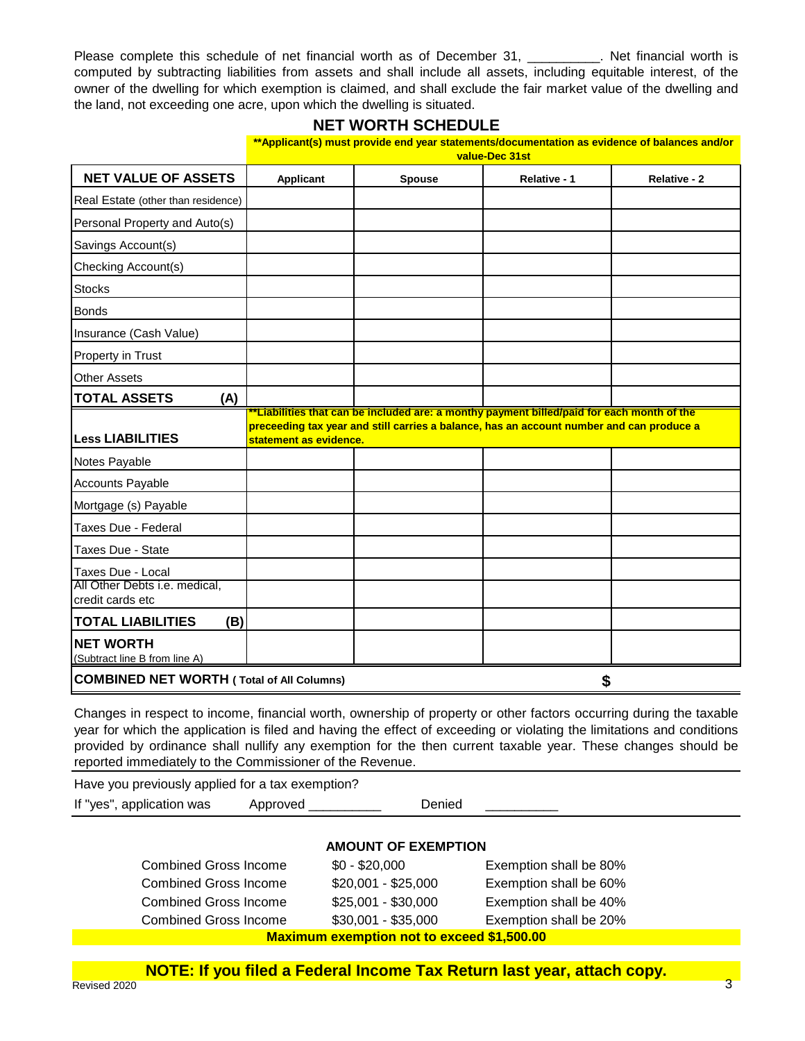Please complete this schedule of net financial worth as of December 31, \_\_\_\_\_\_\_\_\_\_. Net financial worth is computed by subtracting liabilities from assets and shall include all assets, including equitable interest, of the owner of the dwelling for which exemption is claimed, and shall exclude the fair market value of the dwelling and the land, not exceeding one acre, upon which the dwelling is situated.

# **NET WORTH SCHEDULE**

|                                                                        | **Applicant(s) must provide end year statements/documentation as evidence of balances and/or<br>value-Dec 31st |               |                                                                                                                                                                                               |              |
|------------------------------------------------------------------------|----------------------------------------------------------------------------------------------------------------|---------------|-----------------------------------------------------------------------------------------------------------------------------------------------------------------------------------------------|--------------|
| <b>NET VALUE OF ASSETS</b>                                             | <b>Applicant</b>                                                                                               | <b>Spouse</b> | Relative - 1                                                                                                                                                                                  | Relative - 2 |
| Real Estate (other than residence)                                     |                                                                                                                |               |                                                                                                                                                                                               |              |
| Personal Property and Auto(s)                                          |                                                                                                                |               |                                                                                                                                                                                               |              |
| Savings Account(s)                                                     |                                                                                                                |               |                                                                                                                                                                                               |              |
| Checking Account(s)                                                    |                                                                                                                |               |                                                                                                                                                                                               |              |
| <b>Stocks</b>                                                          |                                                                                                                |               |                                                                                                                                                                                               |              |
| <b>Bonds</b>                                                           |                                                                                                                |               |                                                                                                                                                                                               |              |
| Insurance (Cash Value)                                                 |                                                                                                                |               |                                                                                                                                                                                               |              |
| Property in Trust                                                      |                                                                                                                |               |                                                                                                                                                                                               |              |
| <b>Other Assets</b>                                                    |                                                                                                                |               |                                                                                                                                                                                               |              |
| <b>TOTAL ASSETS</b><br>(A)                                             |                                                                                                                |               |                                                                                                                                                                                               |              |
| <b>Less LIABILITIES</b>                                                | statement as evidence.                                                                                         |               | <u>"Liabilities that can be included are: a monthy payment billed/paid for each month of the </u><br>preceeding tax year and still carries a balance, has an account number and can produce a |              |
| Notes Payable                                                          |                                                                                                                |               |                                                                                                                                                                                               |              |
| Accounts Payable                                                       |                                                                                                                |               |                                                                                                                                                                                               |              |
| Mortgage (s) Payable                                                   |                                                                                                                |               |                                                                                                                                                                                               |              |
| Taxes Due - Federal                                                    |                                                                                                                |               |                                                                                                                                                                                               |              |
| Taxes Due - State                                                      |                                                                                                                |               |                                                                                                                                                                                               |              |
| Taxes Due - Local<br>All Other Debts i.e. medical,<br>credit cards etc |                                                                                                                |               |                                                                                                                                                                                               |              |
| <b>TOTAL LIABILITIES</b><br>(B)                                        |                                                                                                                |               |                                                                                                                                                                                               |              |
| <b>NET WORTH</b><br>(Subtract line B from line A)                      |                                                                                                                |               |                                                                                                                                                                                               |              |
| <b>COMBINED NET WORTH (Total of All Columns)</b>                       |                                                                                                                |               | \$                                                                                                                                                                                            |              |

Changes in respect to income, financial worth, ownership of property or other factors occurring during the taxable year for which the application is filed and having the effect of exceeding or violating the limitations and conditions provided by ordinance shall nullify any exemption for the then current taxable year. These changes should be reported immediately to the Commissioner of the Revenue.

Have you previously applied for a tax exemption? If "yes", application was Approved \_\_\_\_\_\_\_\_\_\_\_\_\_ Denied

## **AMOUNT OF EXEMPTION**

| <b>Combined Gross Income</b>                      | $$0 - $20,000$      | Exemption shall be 80% |  |
|---------------------------------------------------|---------------------|------------------------|--|
| <b>Combined Gross Income</b>                      | $$20,001 - $25,000$ | Exemption shall be 60% |  |
| <b>Combined Gross Income</b>                      | \$25,001 - \$30,000 | Exemption shall be 40% |  |
| <b>Combined Gross Income</b>                      | $$30,001 - $35,000$ | Exemption shall be 20% |  |
| <b>Maximum exemption not to exceed \$1,500.00</b> |                     |                        |  |

**NOTE: If you filed a Federal Income Tax Return last year, attach copy.**